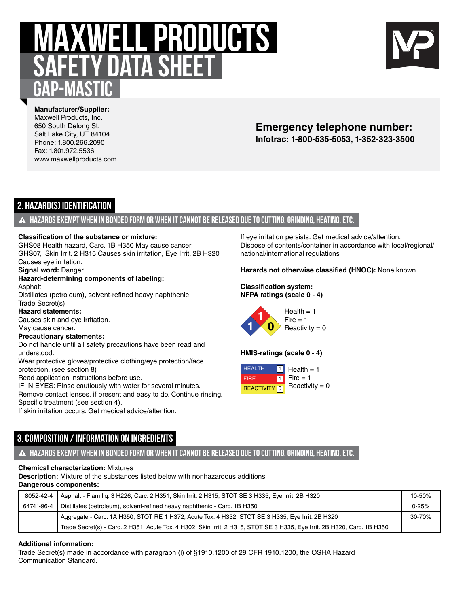# **MAXWELL PRODUCTS safety data sheet Gap-Mastic**



**Manufacturer/Supplier:** Maxwell Products, Inc. 650 South Delong St. Salt Lake City, UT 84104 Phone: 1.800.266.2090 Fax: 1.801.972.5536 www.maxwellproducts.com

# **Infotrac: 1-800-535-5053, 1-352-323-3500 Emergency telephone number:**

# **2. Hazard(s) Identification**

### **Hazards exempt when in bonded form or when it cannot be released due to cutting, grinding, heating, etc.**

#### **Classification of the substance or mixture:**

GHS08 Health hazard, Carc. 1B H350 May cause cancer, GHS07, Skin Irrit. 2 H315 Causes skin irritation, Eye Irrit. 2B H320 Causes eye irritation.

**Signal word:** Danger

#### **Hazard-determining components of labeling:** Asphalt

Distillates (petroleum), solvent-refined heavy naphthenic Trade Secret(s)

**Hazard statements:**

Causes skin and eye irritation.

May cause cancer.

### **Precautionary statements:**

Do not handle until all safety precautions have been read and understood.

Wear protective gloves/protective clothing/eye protection/face protection. (see section 8)

Read application instructions before use.

IF IN EYES: Rinse cautiously with water for several minutes.

Remove contact lenses, if present and easy to do. Continue rinsing. Specific treatment (see section 4).

If skin irritation occurs: Get medical advice/attention.

**3. Composition / Information on Ingredients**

If eye irritation persists: Get medical advice/attention. Dispose of contents/container in accordance with local/regional/ national/international regulations

### **Hazards not otherwise classified (HNOC):** None known.

#### **Classification system: NFPA ratings (scale 0 - 4)**



 $Reactivity = 0$ 

### **HMIS-ratings (scale 0 - 4)**



# **Hazards exempt when in bonded form or when it cannot be released due to cutting, grinding, heating, etc.**

### **Chemical characterization:** Mixtures

**Description:** Mixture of the substances listed below with nonhazardous additions **Dangerous components:**

| 8052-42-4 | Asphalt - Flam lig. 3 H226, Carc. 2 H351, Skin Irrit. 2 H315, STOT SE 3 H335, Eye Irrit. 2B H320                         | 10-50%    |
|-----------|--------------------------------------------------------------------------------------------------------------------------|-----------|
|           | 64741-96-4   Distillates (petroleum), solvent-refined heavy naphthenic - Carc. 1B H350                                   | $0 - 25%$ |
|           | Aggregate - Carc. 1A H350, STOT RE 1 H372, Acute Tox. 4 H332, STOT SE 3 H335, Eye Irrit. 2B H320                         | 30-70%    |
|           | Trade Secret(s) - Carc. 2 H351, Acute Tox. 4 H302, Skin Irrit. 2 H315, STOT SE 3 H335, Eye Irrit. 2B H320, Carc. 1B H350 |           |

### **Additional information:**

Trade Secret(s) made in accordance with paragraph (i) of §1910.1200 of 29 CFR 1910.1200, the OSHA Hazard Communication Standard.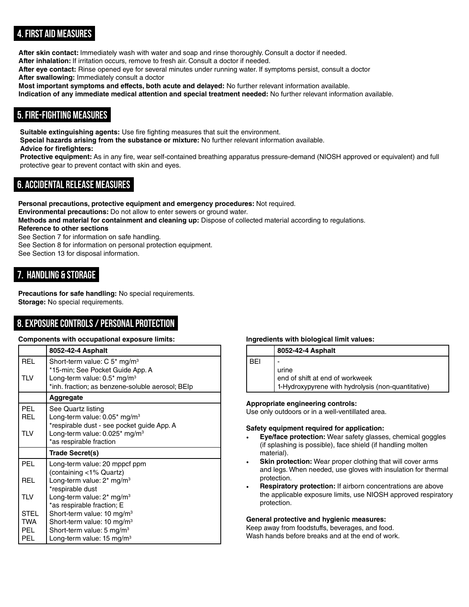# **4. First Aid Measures**

**After skin contact:** Immediately wash with water and soap and rinse thoroughly. Consult a doctor if needed. **After inhalation:** If irritation occurs, remove to fresh air. Consult a doctor if needed.

**After eye contact:** Rinse opened eye for several minutes under running water. If symptoms persist, consult a doctor

**After swallowing:** Immediately consult a doctor

**Most important symptoms and effects, both acute and delayed:** No further relevant information available.

**Indication of any immediate medical attention and special treatment needed:** No further relevant information available.

# **5. Fire-fighting Measures**

**Suitable extinguishing agents:** Use fire fighting measures that suit the environment. **Special hazards arising from the substance or mixture:** No further relevant information available.

### **Advice for firefighters:**

**Protective equipment:** As in any fire, wear self-contained breathing apparatus pressure-demand (NIOSH approved or equivalent) and full protective gear to prevent contact with skin and eyes.

# **6. Accidental release measures**

**Personal precautions, protective equipment and emergency procedures:** Not required. **Environmental precautions:** Do not allow to enter sewers or ground water. **Methods and material for containment and cleaning up:** Dispose of collected material according to regulations. **Reference to other sections** See Section 7 for information on safe handling. See Section 8 for information on personal protection equipment.

See Section 13 for disposal information.

# **7. Handling & Storage**

**Precautions for safe handling:** No special requirements. **Storage:** No special requirements.

# **8. Exposure Controls / Personal Protection**

### **Components with occupational exposure limits:**

|            | 8052-42-4 Asphalt                                                              |
|------------|--------------------------------------------------------------------------------|
| <b>REL</b> | Short-term value: $C$ 5 <sup>*</sup> mg/m <sup>3</sup>                         |
|            | *15-min; See Pocket Guide App. A                                               |
| <b>TLV</b> | Long-term value: $0.5^*$ mg/m <sup>3</sup>                                     |
|            | *inh. fraction; as benzene-soluble aerosol; BEIp                               |
|            | Aggregate                                                                      |
| <b>PEL</b> | See Quartz listing                                                             |
| REL        | Long-term value: $0.05^*$ mg/m <sup>3</sup>                                    |
|            | *respirable dust - see pocket guide App. A                                     |
| <b>TLV</b> | Long-term value: $0.025$ * mg/m <sup>3</sup>                                   |
|            | *as respirable fraction                                                        |
|            |                                                                                |
|            | Trade Secret(s)                                                                |
| <b>PFI</b> | Long-term value: 20 mppcf ppm                                                  |
|            | (containing <1% Quartz)                                                        |
| <b>REL</b> | Long-term value: $2^*$ mg/m <sup>3</sup>                                       |
|            | *respirable dust                                                               |
| <b>TLV</b> | Long-term value: $2^*$ mg/m <sup>3</sup>                                       |
|            | *as respirable fraction; E                                                     |
| STEL       | Short-term value: 10 mg/m <sup>3</sup>                                         |
| TWA        | Short-term value: 10 mg/m <sup>3</sup>                                         |
| PEL.       | Short-term value: 5 mg/m <sup>3</sup><br>Long-term value: 15 mg/m <sup>3</sup> |

### **Ingredients with biological limit values:**

| <b>BEI</b> | end of shift at end of workweek                    |
|------------|----------------------------------------------------|
| urine      | 1-Hydroxypyrene with hydrolysis (non-quantitative) |

### **Appropriate engineering controls:**

Use only outdoors or in a well-ventillated area.

### **Safety equipment required for application:**

- **Eye/face protection:** Wear safety glasses, chemical goggles (if splashing is possible), face shield (if handling molten material).
- **Skin protection:** Wear proper clothing that will cover arms and legs. When needed, use gloves with insulation for thermal protection.
- **Respiratory protection:** If airborn concentrations are above the applicable exposure limits, use NIOSH approved respiratory protection.

#### **General protective and hygienic measures:**

Keep away from foodstuffs, beverages, and food. Wash hands before breaks and at the end of work.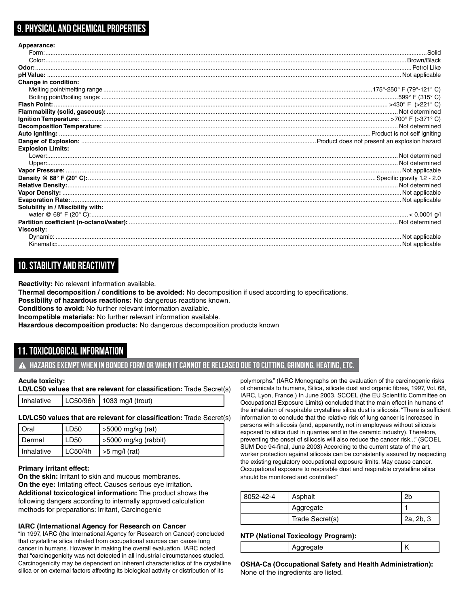# **9. Physical and Chemical Properties**

| Appearance:                       |  |
|-----------------------------------|--|
|                                   |  |
|                                   |  |
|                                   |  |
|                                   |  |
| Change in condition:              |  |
|                                   |  |
|                                   |  |
|                                   |  |
|                                   |  |
|                                   |  |
|                                   |  |
|                                   |  |
|                                   |  |
| <b>Explosion Limits:</b>          |  |
|                                   |  |
|                                   |  |
|                                   |  |
|                                   |  |
|                                   |  |
|                                   |  |
|                                   |  |
| Solubility in / Miscibility with: |  |
|                                   |  |
|                                   |  |
| <b>Viscosity:</b>                 |  |
|                                   |  |
|                                   |  |

# **10. Stability and Reactivity**

**Reactivity:** No relevant information available.

**Thermal decomposition / conditions to be avoided:** No decomposition if used according to specifications.

**Possibility of hazardous reactions:** No dangerous reactions known.

**Conditions to avoid:** No further relevant information available.

**Incompatible materials:** No further relevant information available.

**Hazardous decomposition products:** No dangerous decomposition products known

# **11. Toxicological Information**

**Hazards exempt when in bonded form or when it cannot be released due to cutting, grinding, heating, etc.**

#### **Acute toxicity:**

**LD/LC50 values that are relevant for classification:** Trade Secret(s)

```
Inhalative \vert LC50/96h \vert 1033 mg/l (trout)
```
#### **LD/LC50 values that are relevant for classification:** Trade Secret(s)

| I Oral       | LD50    | >5000 mg/kg (rat)     |
|--------------|---------|-----------------------|
| I Dermal     | LD50    | >5000 mg/kg (rabbit)  |
| I Inhalative | LC50/4h | $\vert$ >5 mg/l (rat) |

#### **Primary irritant effect:**

**On the skin:** Irritant to skin and mucous membranes. **On the eye:** Irritating effect. Causes serious eye irritation. **Additional toxicological information:** The product shows the following dangers according to internally approved calculation methods for preparations: Irritant, Carcinogenic

#### **IARC (International Agency for Research on Cancer**

"In 1997, IARC (the International Agency for Research on Cancer) concluded that crystalline silica inhaled from occupational sources can cause lung cancer in humans. However in making the overall evaluation, IARC noted that "carcinogenicity was not detected in all industrial circumstances studied. Carcinogenicity may be dependent on inherent characteristics of the crystalline silica or on external factors affecting its biological activity or distribution of its

polymorphs." (IARC Monographs on the evaluation of the carcinogenic risks of chemicals to humans, Silica, silicate dust and organic fibres, 1997, Vol. 68, IARC, Lyon, France.) In June 2003, SCOEL (the EU Scientific Committee on Occupational Exposure Limits) concluded that the main effect in humans of the inhalation of respirable crystalline silica dust is silicosis. "There is sufficient information to conclude that the relative risk of lung cancer is increased in persons with silicosis (and, apparently, not in employees without silicosis exposed to silica dust in quarries and in the ceramic industry). Therefore, preventing the onset of silicosis will also reduce the cancer risk..." (SCOEL SUM Doc 94-final, June 2003) According to the current state of the art, worker protection against silicosis can be consistently assured by respecting the existing regulatory occupational exposure limits. May cause cancer. Occupational exposure to respirable dust and respirable crystalline silica should be monitored and controlled"

| 8052-42-4 | Asphalt         | 2Ł        |
|-----------|-----------------|-----------|
|           | Aggregate       |           |
|           | Trade Secret(s) | 2a, 2b, 3 |

#### **NTP (National Toxicology Program):**

| . . | . .<br>$\sim$ |  |
|-----|---------------|--|
|     |               |  |
|     |               |  |

**OSHA-Ca (Occupational Safety and Health Administration):** None of the ingredients are listed.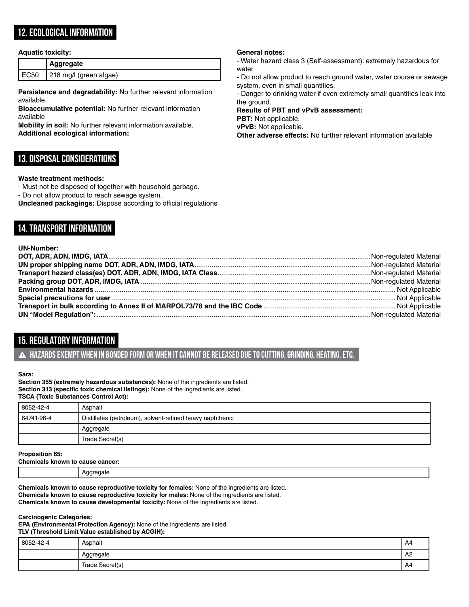# **12. Ecological Information**

#### **Aquatic toxicity:**

|      | Aggregate              |
|------|------------------------|
| EC50 | 218 mg/l (green algae) |

**Persistence and degradability:** No further relevant information available.

**Bioaccumulative potential:** No further relevant information available

**Mobility in soil:** No further relevant information available. **Additional ecological information:**

## **13. Disposal Considerations**

#### **Waste treatment methods:**

- Must not be disposed of together with household garbage.

- Do not allow product to reach sewage system.
- **Uncleaned packagings:** Dispose according to official regulations

# **14. Transport Information**

#### **UN-Number:**

# **15. Regulatory Information**

**Hazards exempt when in bonded form or when it cannot be released due to cutting, grinding, heating, etc.**

#### **Sara:**

**Section 355 (extremely hazardous substances):** None of the ingredients are listed. **Section 313 (specific toxic chemical listings):** None of the ingredients are listed. **TSCA (Toxic Substances Control Act):**

| 8052-42-4  | Asphalt                                                   |  |
|------------|-----------------------------------------------------------|--|
| 64741-96-4 | Distillates (petroleum), solvent-refined heavy naphthenic |  |
|            | Aggregate                                                 |  |
|            | Trade Secret(s)                                           |  |

**Proposition 65:**

**Chemicals known to cause cancer:** 

Aggregate

**Chemicals known to cause reproductive toxicity for females:** None of the ingredients are listed.

**Chemicals known to cause reproductive toxicity for males:** None of the ingredients are listed.

**Chemicals known to cause developmental toxicity:** None of the ingredients are listed.

#### **Carcinogenic Categories:**

**EPA (Environmental Protection Agency):** None of the ingredients are listed. **TLV (Threshold Limit Value established by ACGIH):**

| 8052-42-4 | Asphalt         | A4 |
|-----------|-----------------|----|
|           | Aggregate       | A2 |
|           | Trade Secret(s) | A4 |

#### **General notes:**

- Water hazard class 3 (Self-assessment): extremely hazardous for water

- Do not allow product to reach ground water, water course or sewage system, even in small quantities.

- Danger to drinking water if even extremely small quantities leak into the ground.

# **Results of PBT and vPvB assessment:**

**PBT:** Not applicable. **vPvB:** Not applicable.

**Other adverse effects:** No further relevant information available